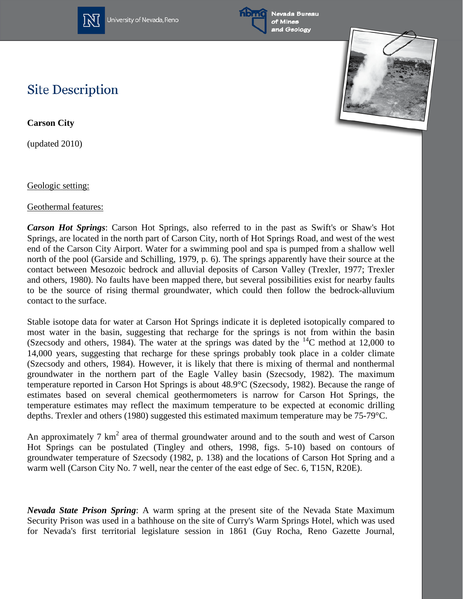

University of Nevada, Reno





## **Site Description**

**Carson City**

(updated 2010)

Geologic setting:

Geothermal features:

*Carson Hot Springs*: Carson Hot Springs, also referred to in the past as Swift's or Shaw's Hot Springs, are located in the north part of Carson City, north of Hot Springs Road, and west of the west end of the Carson City Airport. Water for a swimming pool and spa is pumped from a shallow well north of the pool (Garside and Schilling, 1979, p. 6). The springs apparently have their source at the contact between Mesozoic bedrock and alluvial deposits of Carson Valley (Trexler, 1977; Trexler and others, 1980). No faults have been mapped there, but several possibilities exist for nearby faults to be the source of rising thermal groundwater, which could then follow the bedrock-alluvium contact to the surface.

Stable isotope data for water at Carson Hot Springs indicate it is depleted isotopically compared to most water in the basin, suggesting that recharge for the springs is not from within the basin (Szecsody and others, 1984). The water at the springs was dated by the  $^{14}$ C method at 12,000 to 14,000 years, suggesting that recharge for these springs probably took place in a colder climate (Szecsody and others, 1984). However, it is likely that there is mixing of thermal and nonthermal groundwater in the northern part of the Eagle Valley basin (Szecsody, 1982). The maximum temperature reported in Carson Hot Springs is about 48.9°C (Szecsody, 1982). Because the range of estimates based on several chemical geothermometers is narrow for Carson Hot Springs, the temperature estimates may reflect the maximum temperature to be expected at economic drilling depths. Trexler and others (1980) suggested this estimated maximum temperature may be 75-79°C.

An approximately 7  $km^2$  area of thermal groundwater around and to the south and west of Carson Hot Springs can be postulated (Tingley and others, 1998, figs. 5-10) based on contours of groundwater temperature of Szecsody (1982, p. 138) and the locations of Carson Hot Spring and a warm well (Carson City No. 7 well, near the center of the east edge of Sec. 6, T15N, R20E).

*Nevada State Prison Spring*: A warm spring at the present site of the Nevada State Maximum Security Prison was used in a bathhouse on the site of Curry's Warm Springs Hotel, which was used for Nevada's first territorial legislature session in 1861 (Guy Rocha, Reno Gazette Journal,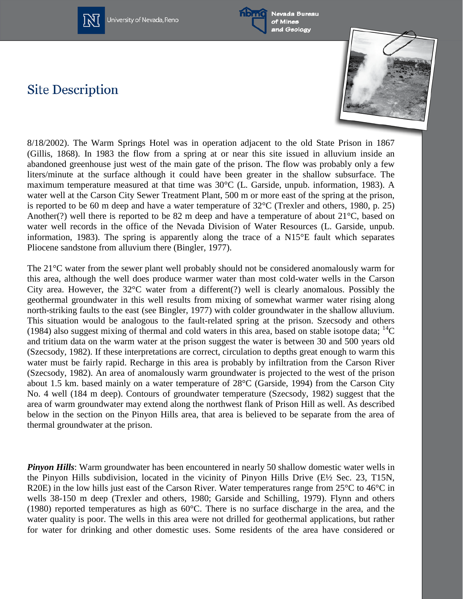

University of Nevada, Reno



Nevada Bureau of Mines and Geology

## **Site Description**



8/18/2002). The Warm Springs Hotel was in operation adjacent to the old State Prison in 1867 (Gillis, 1868). In 1983 the flow from a spring at or near this site issued in alluvium inside an abandoned greenhouse just west of the main gate of the prison. The flow was probably only a few liters/minute at the surface although it could have been greater in the shallow subsurface. The maximum temperature measured at that time was 30°C (L. Garside, unpub. information, 1983). A water well at the Carson City Sewer Treatment Plant, 500 m or more east of the spring at the prison, is reported to be 60 m deep and have a water temperature of 32°C (Trexler and others, 1980, p. 25) Another(?) well there is reported to be 82 m deep and have a temperature of about 21°C, based on water well records in the office of the Nevada Division of Water Resources (L. Garside, unpub. information, 1983). The spring is apparently along the trace of a N15°E fault which separates Pliocene sandstone from alluvium there (Bingler, 1977).

The 21°C water from the sewer plant well probably should not be considered anomalously warm for this area, although the well does produce warmer water than most cold-water wells in the Carson City area. However, the  $32^{\circ}$ C water from a different(?) well is clearly anomalous. Possibly the geothermal groundwater in this well results from mixing of somewhat warmer water rising along north-striking faults to the east (see Bingler, 1977) with colder groundwater in the shallow alluvium. This situation would be analogous to the fault-related spring at the prison. Szecsody and others (1984) also suggest mixing of thermal and cold waters in this area, based on stable isotope data;  ${}^{14}C$ and tritium data on the warm water at the prison suggest the water is between 30 and 500 years old (Szecsody, 1982). If these interpretations are correct, circulation to depths great enough to warm this water must be fairly rapid. Recharge in this area is probably by infiltration from the Carson River (Szecsody, 1982). An area of anomalously warm groundwater is projected to the west of the prison about 1.5 km. based mainly on a water temperature of 28°C (Garside, 1994) from the Carson City No. 4 well (184 m deep). Contours of groundwater temperature (Szecsody, 1982) suggest that the area of warm groundwater may extend along the northwest flank of Prison Hill as well. As described below in the section on the Pinyon Hills area, that area is believed to be separate from the area of thermal groundwater at the prison.

**Pinyon Hills**: Warm groundwater has been encountered in nearly 50 shallow domestic water wells in the Pinyon Hills subdivision, located in the vicinity of Pinyon Hills Drive (E½ Sec. 23, T15N, R20E) in the low hills just east of the Carson River. Water temperatures range from 25°C to 46°C in wells 38-150 m deep (Trexler and others, 1980; Garside and Schilling, 1979). Flynn and others (1980) reported temperatures as high as 60°C. There is no surface discharge in the area, and the water quality is poor. The wells in this area were not drilled for geothermal applications, but rather for water for drinking and other domestic uses. Some residents of the area have considered or